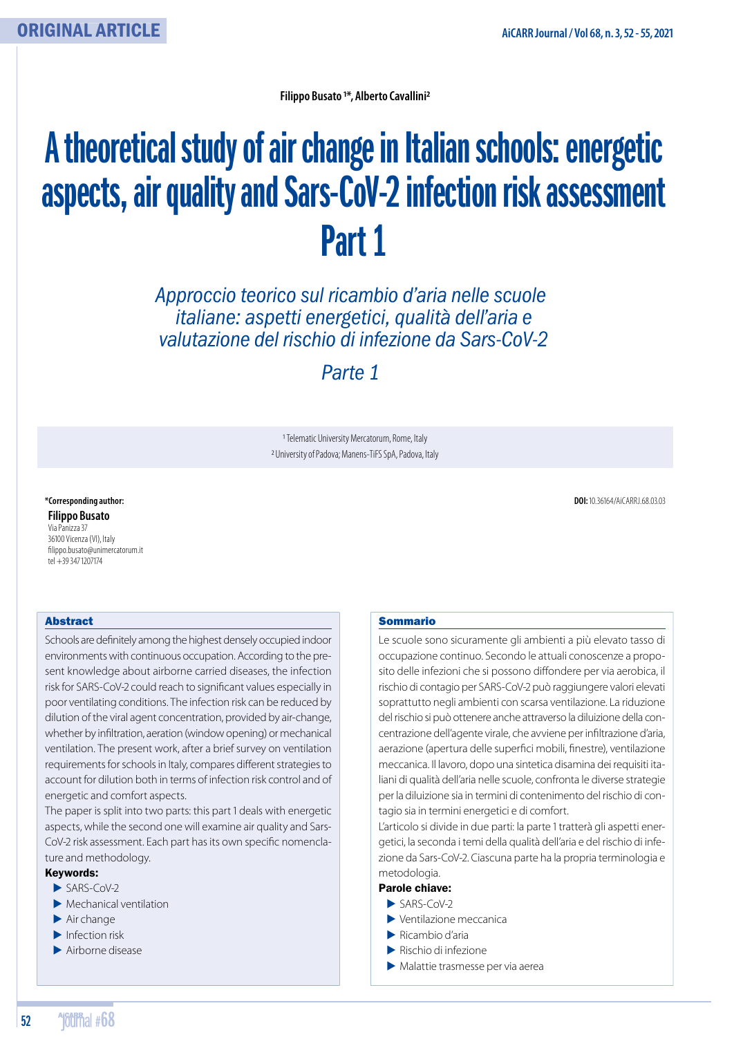**Filippo Busato 1\*, Alberto Cavallini2**

# A theoretical study of air change in Italian schools: energetic aspects, air quality and Sars-CoV-2 infection risk assessment Part 1

*Approccio teorico sul ricambio d'aria nelle scuole italiane: aspetti energetici, qualità dell'aria e valutazione del rischio di infezione da Sars-CoV-2* 

*Parte 1*

1 Telematic University Mercatorum, Rome, Italy 2 University of Padova; Manens-TiFS SpA, Padova, Italy

**Filippo Busato** Via Panizza 37 36100 Vicenza (VI), Italy filippo.busato@unimercatorum.it tel +393471207174

**\*Corresponding author: DOI:** 10.36164/AiCARRJ.68.03.03

#### Abstract

Schools are definitely among the highest densely occupied indoor environments with continuous occupation. According to the present knowledge about airborne carried diseases, the infection risk for SARS-CoV-2 could reach to significant values especially in poor ventilating conditions. The infection risk can be reduced by dilution of the viral agent concentration, provided by air-change, whether by infiltration, aeration (window opening) or mechanical ventilation. The present work, after a brief survey on ventilation requirements for schools in Italy, compares different strategies to account for dilution both in terms of infection risk control and of energetic and comfort aspects.

The paper is split into two parts: this part 1 deals with energetic aspects, while the second one will examine air quality and Sars-CoV-2 risk assessment. Each part has its own specific nomenclature and methodology.

#### Keywords:

- ԥ SARS-CoV-2
- $\blacktriangleright$  Mechanical ventilation
- $\blacktriangleright$  Air change
- $\blacktriangleright$  Infection risk
- ԥ Airborne disease

#### Sommario

Le scuole sono sicuramente gli ambienti a più elevato tasso di occupazione continuo. Secondo le attuali conoscenze a proposito delle infezioni che si possono diffondere per via aerobica, il rischio di contagio per SARS-CoV-2 può raggiungere valori elevati soprattutto negli ambienti con scarsa ventilazione. La riduzione del rischio si può ottenere anche attraverso la diluizione della concentrazione dell'agente virale, che avviene per infiltrazione d'aria, aerazione (apertura delle superfici mobili, finestre), ventilazione meccanica. Il lavoro, dopo una sintetica disamina dei requisiti italiani di qualità dell'aria nelle scuole, confronta le diverse strategie per la diluizione sia in termini di contenimento del rischio di contagio sia in termini energetici e di comfort.

L'articolo si divide in due parti: la parte 1 tratterà gli aspetti energetici, la seconda i temi della qualità dell'aria e del rischio di infezione da Sars-CoV-2. Ciascuna parte ha la propria terminologia e metodologia.

#### Parole chiave:

- ԥ SARS-CoV-2
- ԥ Ventilazione meccanica
- ԥ Ricambio d'aria
- ԥ Rischio di infezione
- ԥ Malattie trasmesse per via aerea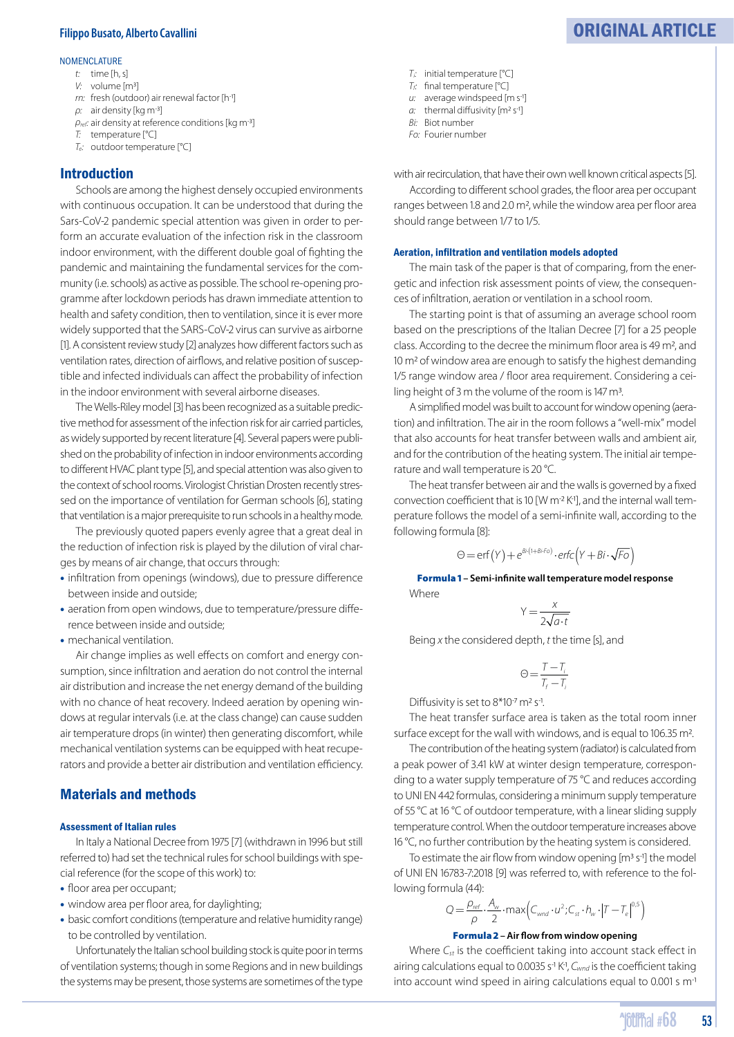#### NOMENCLATURE

- *t:* time [h, s]
- *V:* volume [m3]
- *rn:* fresh (outdoor) air renewal factor [h-1]
- ρ*:* air density [kg m-3]
- ρ*ref:* air density at reference conditions [kg m-3]
- *T:* temperature [°C]
- *Te:* outdoor temperature [°C]

#### Introduction

Schools are among the highest densely occupied environments with continuous occupation. It can be understood that during the Sars-CoV-2 pandemic special attention was given in order to perform an accurate evaluation of the infection risk in the classroom indoor environment, with the different double goal of fighting the pandemic and maintaining the fundamental services for the community (i.e. schools) as active as possible. The school re-opening programme after lockdown periods has drawn immediate attention to health and safety condition, then to ventilation, since it is ever more widely supported that the SARS-CoV-2 virus can survive as airborne [1]. A consistent review study [2] analyzes how different factors such as ventilation rates, direction of airflows, and relative position of susceptible and infected individuals can affect the probability of infection in the indoor environment with several airborne diseases.

The Wells-Riley model [3] has been recognized as a suitable predictive method for assessment of the infection risk for air carried particles, as widely supported by recent literature [4]. Several papers were published on the probability of infection in indoor environments according to different HVAC plant type [5], and special attention was also given to the context of school rooms. Virologist Christian Drosten recently stressed on the importance of ventilation for German schools [6], stating that ventilation is a major prerequisite to run schools in a healthy mode.

The previously quoted papers evenly agree that a great deal in the reduction of infection risk is played by the dilution of viral charges by means of air change, that occurs through:

- infiltration from openings (windows), due to pressure difference between inside and outside;
- aeration from open windows, due to temperature/pressure difference between inside and outside;
- mechanical ventilation.

Air change implies as well effects on comfort and energy consumption, since infiltration and aeration do not control the internal air distribution and increase the net energy demand of the building with no chance of heat recovery. Indeed aeration by opening windows at regular intervals (i.e. at the class change) can cause sudden air temperature drops (in winter) then generating discomfort, while mechanical ventilation systems can be equipped with heat recuperators and provide a better air distribution and ventilation efficiency.

#### Materials and methods

#### Assessment of Italian rules

In Italy a National Decree from 1975 [7] (withdrawn in 1996 but still referred to) had set the technical rules for school buildings with special reference (for the scope of this work) to:

- floor area per occupant:
- window area per floor area, for daylighting;
- basic comfort conditions (temperature and relative humidity range) to be controlled by ventilation.

Unfortunately the Italian school building stock is quite poor in terms of ventilation systems; though in some Regions and in new buildings the systems may be present, those systems are sometimes of the type

- *Ti:* initial temperature [°C]
- $T_f$ : final temperature  $[°C]$
- *u*: average windspeed [m s<sup>-1</sup>] *a*: thermal diffusivity [m<sup>2</sup> s<sup>-1</sup>]
- *Bi:* Biot number
- *Fo:* Fourier number

with air recirculation, that have their own well known critical aspects [5].

According to different school grades, the floor area per occupant ranges between 1.8 and 2.0 m<sup>2</sup>, while the window area per floor area should range between 1/7 to 1/5.

#### Aeration, infiltration and ventilation models adopted

The main task of the paper is that of comparing, from the energetic and infection risk assessment points of view, the consequences of infiltration, aeration or ventilation in a school room.

The starting point is that of assuming an average school room based on the prescriptions of the Italian Decree [7] for a 25 people class. According to the decree the minimum floor area is 49 m<sup>2</sup>, and 10 m2 of window area are enough to satisfy the highest demanding 1/5 range window area / floor area requirement. Considering a ceiling height of 3 m the volume of the room is 147 m3.

A simplified model was built to account for window opening (aeration) and infiltration. The air in the room follows a "well-mix" model that also accounts for heat transfer between walls and ambient air, and for the contribution of the heating system. The initial air temperature and wall temperature is 20 °C.

The heat transfer between air and the walls is governed by a fixed convection coefficient that is 10 [W m<sup>-2</sup> K<sup>-1</sup>], and the internal wall temperature follows the model of a semi-infinite wall, according to the following formula [8]:

$$
\Theta = \text{erf}(Y) + e^{Bi(1+Bi \cdot Fo)} \cdot \text{erfc}(Y + Bi \cdot \sqrt{Fo})
$$

Formula 1 **– Semi-in! nite wall temperature model response Where** 

$$
Y = \frac{x}{2\sqrt{a \cdot t}}
$$

Being *x* the considered depth, *t* the time [s], and

$$
\Theta = \frac{T - T_i}{T_f - T_i}
$$

Diffusivity is set to  $8*10<sup>-7</sup>$  m<sup>2</sup> s<sup>-1</sup>.

The heat transfer surface area is taken as the total room inner surface except for the wall with windows, and is equal to 106.35 m<sup>2</sup>.

The contribution of the heating system (radiator) is calculated from a peak power of 3.41 kW at winter design temperature, corresponding to a water supply temperature of 75 °C and reduces according to UNI EN 442 formulas, considering a minimum supply temperature of 55 °C at 16 °C of outdoor temperature, with a linear sliding supply temperature control. When the outdoor temperature increases above 16 °C, no further contribution by the heating system is considered.

To estimate the air flow from window opening [m<sup>3</sup> s<sup>-1</sup>] the model of UNI EN 16783-7:2018 [9] was referred to, with reference to the following formula (44):

## $Q = \frac{\rho_{ref}}{\rho} \cdot \frac{A_w}{2} \cdot \max\left(C_{\text{word}} \cdot u^2; C_{\text{st}} \cdot h_w \cdot \left|T - T_e\right|^{0.5}\right)$

#### **Formula 2** – Air flow from window opening

Where  $C_{st}$  is the coefficient taking into account stack effect in airing calculations equal to 0.0035 s<sup>-1</sup> K<sup>-1</sup>, C<sub>wnd</sub> is the coefficient taking into account wind speed in airing calculations equal to 0.001 s m-1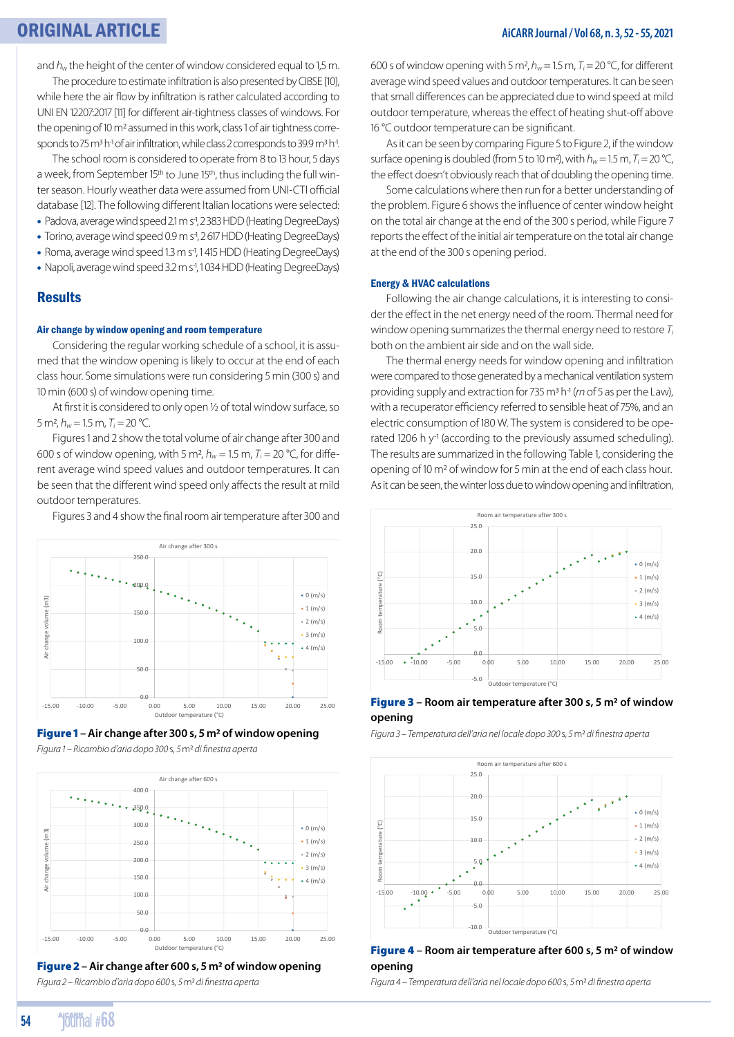and  $h<sub>w</sub>$  the height of the center of window considered equal to 1.5 m. The procedure to estimate infiltration is also presented by CIBSE [10],

while here the air flow by infiltration is rather calculated according to UNI EN 12207:2017 [11] for different air-tightness classes of windows. For the opening of 10 m<sup>2</sup> assumed in this work, class 1 of air tightness corresponds to 75 m<sup>3</sup> h<sup>-1</sup> of air infiltration, while class 2 corresponds to 39.9 m<sup>3</sup> h<sup>-1</sup>.

The school room is considered to operate from 8 to 13 hour, 5 days a week, from September 15th to June 15th, thus including the full winter season. Hourly weather data were assumed from UNI-CTI official database [12]. The following different Italian locations were selected:

- Padova, average wind speed 2.1 m s-1, 2 383 HDD (Heating DegreeDays)
- Torino, average wind speed 0.9 m s-1, 2 617 HDD (Heating DegreeDays)
- Roma, average wind speed 1.3 m s<sup>-1</sup>, 1 415 HDD (Heating DegreeDays)
- Napoli, average wind speed 3.2 m s<sup>-1</sup>, 1034 HDD (Heating DegreeDays)

#### Results

#### Air change by window opening and room temperature

Considering the regular working schedule of a school, it is assumed that the window opening is likely to occur at the end of each class hour. Some simulations were run considering 5 min (300 s) and 10 min (600 s) of window opening time.

At first it is considered to only open 1/2 of total window surface, so 5 m<sup>2</sup>,  $h_w$  = 1.5 m,  $T_i$  = 20 °C.

Figures 1 and 2 show the total volume of air change after 300 and 600 s of window opening, with 5 m<sup>2</sup>,  $h_w = 1.5$  m,  $T_i = 20$  °C, for different average wind speed values and outdoor temperatures. It can be seen that the different wind speed only affects the result at mild outdoor temperatures.

Figures 3 and 4 show the final room air temperature after 300 and





*Figura – Ricambio d'aria dopo*  s*,*  m2 *di fi nestra aperta* 



Fi gure 2 **– Air change after 600 s, 5 m2 of window opening** *Figura – Ricambio d'aria dopo*  s*,*  m2 *di fi nestra aperta*

600 s of window opening with 5 m<sup>2</sup>,  $h_w = 1.5$  m,  $T_i = 20$  °C, for different average wind speed values and outdoor temperatures. It can be seen that small differences can be appreciated due to wind speed at mild outdoor temperature, whereas the effect of heating shut-off above 16 °C outdoor temperature can be significant.

As it can be seen by comparing Figure 5 to Figure 2, if the window surface opening is doubled (from 5 to 10 m<sup>2</sup>), with  $h_w = 1.5$  m,  $T_i = 20$  °C, the effect doesn't obviously reach that of doubling the opening time.

Some calculations where then run for a better understanding of the problem. Figure 6 shows the influence of center window height on the total air change at the end of the 300 s period, while Figure 7 reports the effect of the initial air temperature on the total air change at the end of the 300 s opening period.

#### Energy & HVAC calculations

Following the air change calculations, it is interesting to consider the effect in the net energy need of the room. Thermal need for window opening summarizes the thermal energy need to restore *Ti* both on the ambient air side and on the wall side.

The thermal energy needs for window opening and infiltration were compared to those generated by a mechanical ventilation system providing supply and extraction for 735 m3 h-1 (*rn* of 5 as per the Law), with a recuperator efficiency referred to sensible heat of 75%, and an electric consumption of 180 W. The system is considered to be operated 1206 h y<sup>-1</sup> (according to the previously assumed scheduling). The results are summarized in the following Table 1, considering the opening of 10 m2 of window for 5 min at the end of each class hour. As it can be seen, the winter loss due to window opening and infiltration,



#### Fig ure 3 **– Room air temperature after 300 s, 5 m2 of window opening**

*Figura – Temperatura dell'aria nel locale dopo*  s*,*  m2 *di fi nestra aperta*



#### Figure 4 **– Room air temperature after 600 s, 5 m2 of window opening**

*Figura – Temperatura dell'aria nel locale dopo*  s*,*  m2 *di fi nestra aperta*